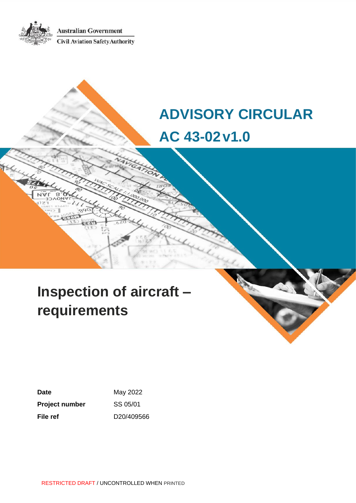**Australian Government Civil Aviation Safety Authority** 

# **ADVISORY CIRCULAR AC 43-02v1.0**

# **Inspection of aircraft – requirements**

**Date** May 2022 **Project number** SS 05/01 **File ref** D20/409566

RESTRICTED DRAFT / UNCONTROLLED WHEN PRINTED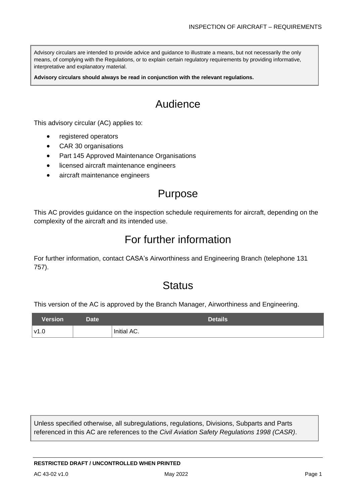Advisory circulars are intended to provide advice and guidance to illustrate a means, but not necessarily the only means, of complying with the Regulations, or to explain certain regulatory requirements by providing informative, interpretative and explanatory material.

**Advisory circulars should always be read in conjunction with the relevant regulations.**

## Audience

This advisory circular (AC) applies to:

- registered operators
- CAR 30 organisations
- Part 145 Approved Maintenance Organisations
- licensed aircraft maintenance engineers
- aircraft maintenance engineers

## Purpose

This AC provides guidance on the inspection schedule requirements for aircraft, depending on the complexity of the aircraft and its intended use.

## For further information

For further information, contact CASA's Airworthiness and Engineering Branch (telephone 131 757).

## **Status**

This version of the AC is approved by the Branch Manager, Airworthiness and Engineering.

| <b>Version</b> | Date <sup>1</sup> | Details     |
|----------------|-------------------|-------------|
| v1.0           |                   | Initial AC. |

Unless specified otherwise, all subregulations, regulations, Divisions, Subparts and Parts referenced in this AC are references to the *Civil Aviation Safety Regulations 1998 (CASR)*.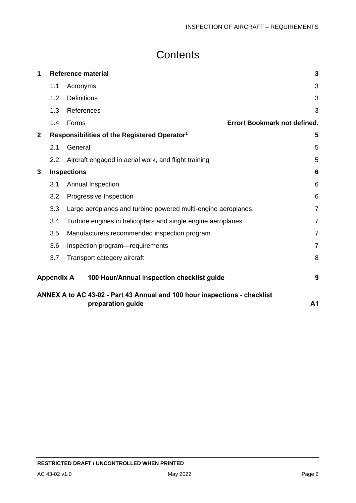## **Contents**

| 1                       | <b>Reference material</b> |                                                                                                |                |
|-------------------------|---------------------------|------------------------------------------------------------------------------------------------|----------------|
|                         | 1.1                       | Acronyms                                                                                       | 3              |
|                         | 1.2                       | <b>Definitions</b>                                                                             | 3              |
|                         | 1.3                       | References                                                                                     | 3              |
|                         | 1.4                       | Error! Bookmark not defined.<br>Forms                                                          |                |
| $\mathbf{2}$            |                           | Responsibilities of the Registered Operator <sup>1</sup>                                       | 5              |
|                         | 2.1                       | General                                                                                        | 5              |
|                         | 2.2                       | Aircraft engaged in aerial work, and flight training                                           | 5              |
| <b>Inspections</b><br>3 |                           |                                                                                                | 6              |
|                         | 3.1                       | Annual Inspection                                                                              | 6              |
|                         | 3.2                       | Progressive Inspection                                                                         | 6              |
|                         | 3.3                       | Large aeroplanes and turbine powered multi-engine aeroplanes                                   | $\overline{7}$ |
|                         | 3.4                       | Turbine engines in helicopters and single engine aeroplanes                                    | $\overline{7}$ |
|                         | 3.5                       | Manufacturers recommended inspection program                                                   | $\overline{7}$ |
|                         | 3.6                       | Inspection program-requirements                                                                | $\overline{7}$ |
|                         | 3.7                       | Transport category aircraft                                                                    | 8              |
|                         | <b>Appendix A</b>         | 100 Hour/Annual inspection checklist guide                                                     | 9              |
|                         |                           | ANNEX A to AC 43-02 - Part 43 Annual and 100 hour inspections - checklist<br>preparation guide | A <sub>1</sub> |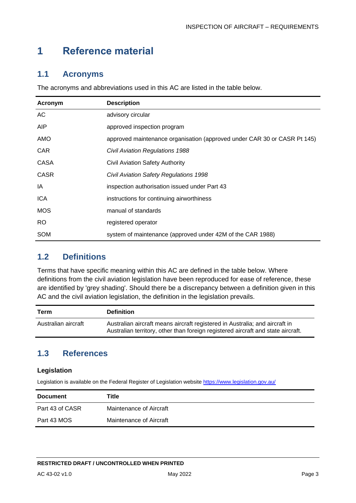## <span id="page-3-0"></span>**1 Reference material**

## <span id="page-3-1"></span>**1.1 Acronyms**

The acronyms and abbreviations used in this AC are listed in the table below.

| Acronym     | <b>Description</b>                                                       |
|-------------|--------------------------------------------------------------------------|
| AC.         | advisory circular                                                        |
| <b>AIP</b>  | approved inspection program                                              |
| AMO         | approved maintenance organisation (approved under CAR 30 or CASR Pt 145) |
| <b>CAR</b>  | <b>Civil Aviation Regulations 1988</b>                                   |
| CASA        | Civil Aviation Safety Authority                                          |
| <b>CASR</b> | Civil Aviation Safety Regulations 1998                                   |
| IA          | inspection authorisation issued under Part 43                            |
| <b>ICA</b>  | instructions for continuing airworthiness                                |
| <b>MOS</b>  | manual of standards                                                      |
| RO.         | registered operator                                                      |
| <b>SOM</b>  | system of maintenance (approved under 42M of the CAR 1988)               |

## <span id="page-3-2"></span>**1.2 Definitions**

Terms that have specific meaning within this AC are defined in the table below. Where definitions from the civil aviation legislation have been reproduced for ease of reference, these are identified by 'grey shading'. Should there be a discrepancy between a definition given in this AC and the civil aviation legislation, the definition in the legislation prevails.

| Term                | <b>Definition</b>                                                                                                                                               |
|---------------------|-----------------------------------------------------------------------------------------------------------------------------------------------------------------|
| Australian aircraft | Australian aircraft means aircraft registered in Australia; and aircraft in<br>Australian territory, other than foreign registered aircraft and state aircraft. |

## <span id="page-3-3"></span>**1.3 References**

#### **Legislation**

Legislation is available on the Federal Register of Legislation website<https://www.legislation.gov.au/>

| <b>Document</b> | Title                   |
|-----------------|-------------------------|
| Part 43 of CASR | Maintenance of Aircraft |
| Part 43 MOS     | Maintenance of Aircraft |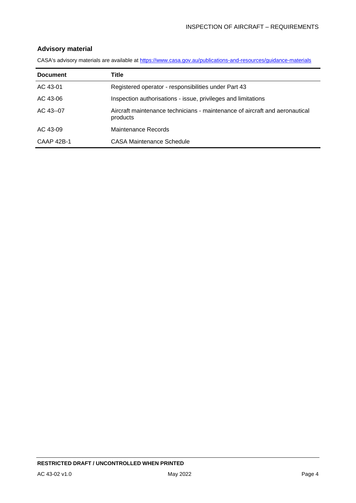#### **Advisory material**

CASA's advisory materials are available at<https://www.casa.gov.au/publications-and-resources/guidance-materials>

| <b>Document</b> | Title                                                                                   |
|-----------------|-----------------------------------------------------------------------------------------|
| AC 43-01        | Registered operator - responsibilities under Part 43                                    |
| AC 43-06        | Inspection authorisations - issue, privileges and limitations                           |
| $AC$ 43--07     | Aircraft maintenance technicians - maintenance of aircraft and aeronautical<br>products |
| AC 43-09        | Maintenance Records                                                                     |
| CAAP 42B-1      | CASA Maintenance Schedule                                                               |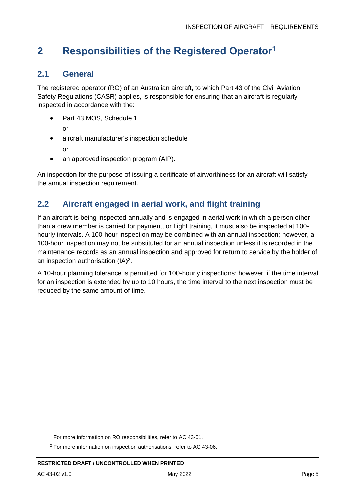## <span id="page-5-0"></span>**2 Responsibilities of the Registered Operator<sup>1</sup>**

## <span id="page-5-1"></span>**2.1 General**

The registered operator (RO) of an Australian aircraft, to which Part 43 of the Civil Aviation Safety Regulations (CASR) applies, is responsible for ensuring that an aircraft is regularly inspected in accordance with the:

• Part 43 MOS, Schedule 1

or

- aircraft manufacturer's inspection schedule
	- or
- an approved inspection program (AIP).

An inspection for the purpose of issuing a certificate of airworthiness for an aircraft will satisfy the annual inspection requirement.

## <span id="page-5-2"></span>**2.2 Aircraft engaged in aerial work, and flight training**

If an aircraft is being inspected annually and is engaged in aerial work in which a person other than a crew member is carried for payment, or flight training, it must also be inspected at 100 hourly intervals. A 100-hour inspection may be combined with an annual inspection; however, a 100-hour inspection may not be substituted for an annual inspection unless it is recorded in the maintenance records as an annual inspection and approved for return to service by the holder of an inspection authorisation (IA)<sup>2</sup>.

A 10-hour planning tolerance is permitted for 100-hourly inspections; however, if the time interval for an inspection is extended by up to 10 hours, the time interval to the next inspection must be reduced by the same amount of time.

<sup>1</sup> For more information on RO responsibilities, refer to AC 43-01.

<sup>2</sup> For more information on inspection authorisations, refer to AC 43-06.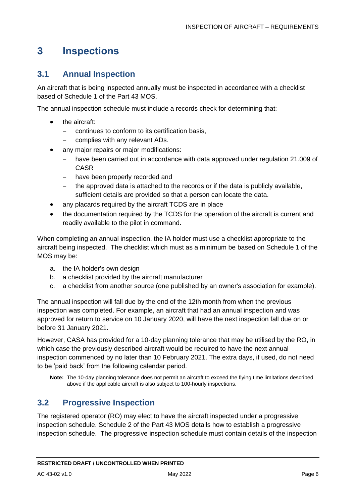## <span id="page-6-0"></span>**3 Inspections**

## <span id="page-6-1"></span>**3.1 Annual Inspection**

An aircraft that is being inspected annually must be inspected in accordance with a checklist based of Schedule 1 of the Part 43 MOS.

The annual inspection schedule must include a records check for determining that:

- the aircraft:
	- continues to conform to its certification basis,
	- complies with any relevant ADs.
- any major repairs or major modifications:
	- − have been carried out in accordance with data approved under regulation 21.009 of CASR
	- − have been properly recorded and
	- − the approved data is attached to the records or if the data is publicly available, sufficient details are provided so that a person can locate the data.
- any placards required by the aircraft TCDS are in place
- the documentation required by the TCDS for the operation of the aircraft is current and readily available to the pilot in command.

When completing an annual inspection, the IA holder must use a checklist appropriate to the aircraft being inspected. The checklist which must as a minimum be based on Schedule 1 of the MOS may be:

- a. the IA holder's own design
- b. a checklist provided by the aircraft manufacturer
- c. a checklist from another source (one published by an owner's association for example).

The annual inspection will fall due by the end of the 12th month from when the previous inspection was completed. For example, an aircraft that had an annual inspection and was approved for return to service on 10 January 2020, will have the next inspection fall due on or before 31 January 2021.

However, CASA has provided for a 10-day planning tolerance that may be utilised by the RO, in which case the previously described aircraft would be required to have the next annual inspection commenced by no later than 10 February 2021. The extra days, if used, do not need to be 'paid back' from the following calendar period.

**Note:** The 10-day planning tolerance does not permit an aircraft to exceed the flying time limitations described above if the applicable aircraft is also subject to 100-hourly inspections.

### <span id="page-6-2"></span>**3.2 Progressive Inspection**

The registered operator (RO) may elect to have the aircraft inspected under a progressive inspection schedule. Schedule 2 of the Part 43 MOS details how to establish a progressive inspection schedule. The progressive inspection schedule must contain details of the inspection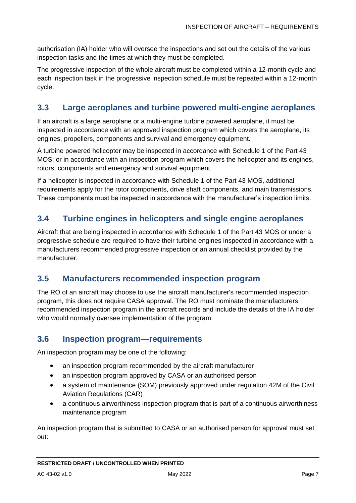authorisation (IA) holder who will oversee the inspections and set out the details of the various inspection tasks and the times at which they must be completed.

The progressive inspection of the whole aircraft must be completed within a 12-month cycle and each inspection task in the progressive inspection schedule must be repeated within a 12-month cycle.

## <span id="page-7-0"></span>**3.3 Large aeroplanes and turbine powered multi-engine aeroplanes**

If an aircraft is a large aeroplane or a multi-engine turbine powered aeroplane, it must be inspected in accordance with an approved inspection program which covers the aeroplane, its engines, propellers, components and survival and emergency equipment.

A turbine powered helicopter may be inspected in accordance with Schedule 1 of the Part 43 MOS; or in accordance with an inspection program which covers the helicopter and its engines, rotors, components and emergency and survival equipment.

If a helicopter is inspected in accordance with Schedule 1 of the Part 43 MOS, additional requirements apply for the rotor components, drive shaft components, and main transmissions. These components must be inspected in accordance with the manufacturer's inspection limits.

## <span id="page-7-1"></span>**3.4 Turbine engines in helicopters and single engine aeroplanes**

Aircraft that are being inspected in accordance with Schedule 1 of the Part 43 MOS or under a progressive schedule are required to have their turbine engines inspected in accordance with a manufacturers recommended progressive inspection or an annual checklist provided by the manufacturer.

## <span id="page-7-2"></span>**3.5 Manufacturers recommended inspection program**

The RO of an aircraft may choose to use the aircraft manufacturer's recommended inspection program, this does not require CASA approval. The RO must nominate the manufacturers recommended inspection program in the aircraft records and include the details of the IA holder who would normally oversee implementation of the program.

### <span id="page-7-3"></span>**3.6 Inspection program—requirements**

An inspection program may be one of the following:

- an inspection program recommended by the aircraft manufacturer
- an inspection program approved by CASA or an authorised person
- a system of maintenance (SOM) previously approved under regulation 42M of the Civil Aviation Regulations (CAR)
- a continuous airworthiness inspection program that is part of a continuous airworthiness maintenance program

An inspection program that is submitted to CASA or an authorised person for approval must set out: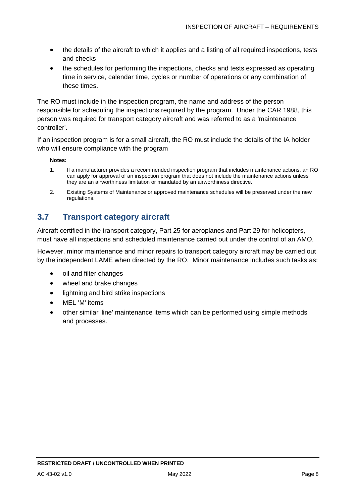- the details of the aircraft to which it applies and a listing of all required inspections, tests and checks
- the schedules for performing the inspections, checks and tests expressed as operating time in service, calendar time, cycles or number of operations or any combination of these times.

The RO must include in the inspection program, the name and address of the person responsible for scheduling the inspections required by the program. Under the CAR 1988, this person was required for transport category aircraft and was referred to as a 'maintenance controller'.

If an inspection program is for a small aircraft, the RO must include the details of the IA holder who will ensure compliance with the program

#### **Notes:**

- 1. If a manufacturer provides a recommended inspection program that includes maintenance actions, an RO can apply for approval of an inspection program that does not include the maintenance actions unless they are an airworthiness limitation or mandated by an airworthiness directive.
- 2. Existing Systems of Maintenance or approved maintenance schedules will be preserved under the new regulations.

## <span id="page-8-0"></span>**3.7 Transport category aircraft**

Aircraft certified in the transport category, Part 25 for aeroplanes and Part 29 for helicopters, must have all inspections and scheduled maintenance carried out under the control of an AMO.

However, minor maintenance and minor repairs to transport category aircraft may be carried out by the independent LAME when directed by the RO. Minor maintenance includes such tasks as:

- oil and filter changes
- wheel and brake changes
- lightning and bird strike inspections
- MEL 'M' items
- other similar 'line' maintenance items which can be performed using simple methods and processes.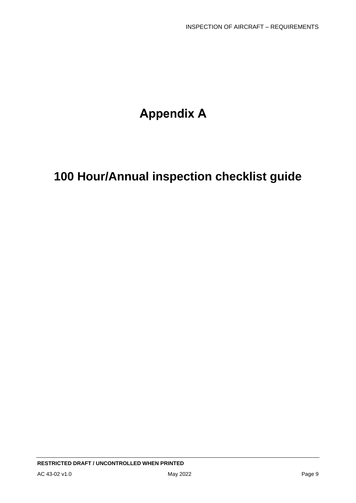## **Appendix A**

## **100 Hour/Annual inspection checklist guide**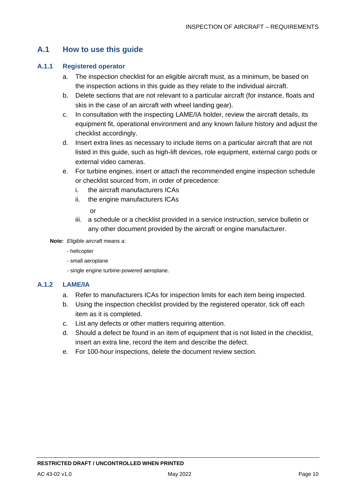## **A.1 How to use this guide**

### **A.1.1 Registered operator**

- a. The inspection checklist for an eligible aircraft must, as a minimum, be based on the inspection actions in this guide as they relate to the individual aircraft.
- b. Delete sections that are not relevant to a particular aircraft (for instance, floats and skis in the case of an aircraft with wheel landing gear).
- c. In consultation with the inspecting LAME/IA holder, review the aircraft details, its equipment fit, operational environment and any known failure history and adjust the checklist accordingly.
- d. Insert extra lines as necessary to include items on a particular aircraft that are not listed in this guide, such as high-lift devices, role equipment, external cargo pods or external video cameras.
- e. For turbine engines, insert or attach the recommended engine inspection schedule or checklist sourced from, in order of precedence:
	- i. the aircraft manufacturers ICAs
	- ii. the engine manufacturers ICAs

or

iii. a schedule or a checklist provided in a service instruction, service bulletin or any other document provided by the aircraft or engine manufacturer.

**Note:** *Eligible aircraft* means a:

- helicopter
- small aeroplane
- single engine turbine-powered aeroplane.

#### **A.1.2 LAME/IA**

- a. Refer to manufacturers ICAs for inspection limits for each item being inspected.
- b. Using the inspection checklist provided by the registered operator, tick off each item as it is completed.
- c. List any defects or other matters requiring attention.
- d. Should a defect be found in an item of equipment that is not listed in the checklist, insert an extra line, record the item and describe the defect.
- e. For 100-hour inspections, delete the document review section.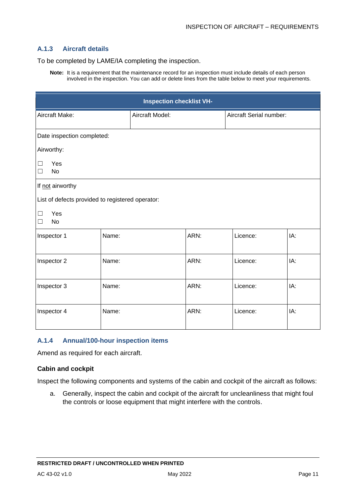#### **A.1.3 Aircraft details**

To be completed by LAME/IA completing the inspection.

**Note:** It is a requirement that the maintenance record for an inspection must include details of each person involved in the inspection. You can add or delete lines from the table below to meet your requirements.

| <b>Inspection checklist VH-</b>                  |                            |                 |      |                         |     |  |
|--------------------------------------------------|----------------------------|-----------------|------|-------------------------|-----|--|
| Aircraft Make:                                   |                            | Aircraft Model: |      | Aircraft Serial number: |     |  |
|                                                  | Date inspection completed: |                 |      |                         |     |  |
| Airworthy:                                       |                            |                 |      |                         |     |  |
| Yes<br>□<br><b>No</b><br>□                       |                            |                 |      |                         |     |  |
| If not airworthy                                 |                            |                 |      |                         |     |  |
| List of defects provided to registered operator: |                            |                 |      |                         |     |  |
| Yes<br>$\Box$<br><b>No</b><br>П                  |                            |                 |      |                         |     |  |
| Inspector 1                                      | Name:                      |                 | ARN: | Licence:                | IA: |  |
| Inspector 2                                      | Name:                      |                 | ARN: | Licence:                | IA: |  |
| Inspector 3                                      | Name:                      |                 | ARN: | Licence:                | IA: |  |
| Inspector 4                                      | Name:                      |                 | ARN: | Licence:                | IA: |  |

#### **A.1.4 Annual/100-hour inspection items**

Amend as required for each aircraft.

#### **Cabin and cockpit**

Inspect the following components and systems of the cabin and cockpit of the aircraft as follows:

a. Generally, inspect the cabin and cockpit of the aircraft for uncleanliness that might foul the controls or loose equipment that might interfere with the controls.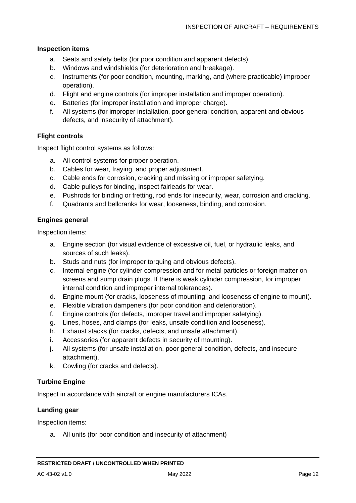#### **Inspection items**

- a. Seats and safety belts (for poor condition and apparent defects).
- b. Windows and windshields (for deterioration and breakage).
- c. Instruments (for poor condition, mounting, marking, and (where practicable) improper operation).
- d. Flight and engine controls (for improper installation and improper operation).
- e. Batteries (for improper installation and improper charge).
- f. All systems (for improper installation, poor general condition, apparent and obvious defects, and insecurity of attachment).

#### **Flight controls**

Inspect flight control systems as follows:

- a. All control systems for proper operation.
- b. Cables for wear, fraying, and proper adjustment.
- c. Cable ends for corrosion, cracking and missing or improper safetying.
- d. Cable pulleys for binding, inspect fairleads for wear.
- e. Pushrods for binding or fretting, rod ends for insecurity, wear, corrosion and cracking.
- f. Quadrants and bellcranks for wear, looseness, binding, and corrosion.

#### **Engines general**

Inspection items:

- a. Engine section (for visual evidence of excessive oil, fuel, or hydraulic leaks, and sources of such leaks).
- b. Studs and nuts (for improper torquing and obvious defects).
- c. Internal engine (for cylinder compression and for metal particles or foreign matter on screens and sump drain plugs. If there is weak cylinder compression, for improper internal condition and improper internal tolerances).
- d. Engine mount (for cracks, looseness of mounting, and looseness of engine to mount).
- e. Flexible vibration dampeners (for poor condition and deterioration).
- f. Engine controls (for defects, improper travel and improper safetying).
- g. Lines, hoses, and clamps (for leaks, unsafe condition and looseness).
- h. Exhaust stacks (for cracks, defects, and unsafe attachment).
- i. Accessories (for apparent defects in security of mounting).
- j. All systems (for unsafe installation, poor general condition, defects, and insecure attachment).
- k. Cowling (for cracks and defects).

### **Turbine Engine**

Inspect in accordance with aircraft or engine manufacturers ICAs.

#### **Landing gear**

Inspection items:

a. All units (for poor condition and insecurity of attachment)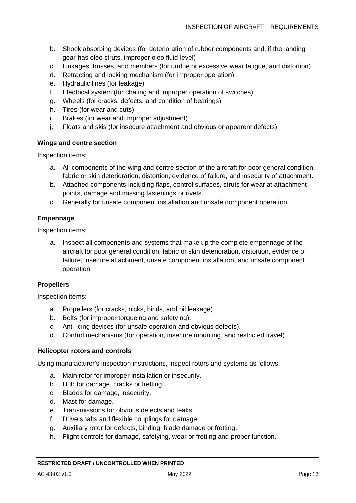- b. Shock absorbing devices (for deterioration of rubber components and, if the landing gear has oleo struts, improper oleo fluid level)
- c. Linkages, trusses, and members (for undue or excessive wear fatigue, and distortion)
- d. Retracting and locking mechanism (for improper operation)
- e. Hydraulic lines (for leakage)
- f. Electrical system (for chafing and improper operation of switches)
- g. Wheels (for cracks, defects, and condition of bearings)
- h. Tires (for wear and cuts)
- i. Brakes (for wear and improper adjustment)
- j. Floats and skis (for insecure attachment and obvious or apparent defects).

#### **Wings and centre section**

Inspection items:

- a. All components of the wing and centre section of the aircraft for poor general condition, fabric or skin deterioration, distortion, evidence of failure, and insecurity of attachment.
- b. Attached components including flaps, control surfaces, struts for wear at attachment points, damage and missing fastenings or rivets.
- c. Generally for unsafe component installation and unsafe component operation.

#### **Empennage**

Inspection items:

a. Inspect all components and systems that make up the complete empennage of the aircraft for poor general condition, fabric or skin deterioration, distortion, evidence of failure, insecure attachment, unsafe component installation, and unsafe component operation.

#### **Propellers**

Inspection items:

- a. Propellers (for cracks, nicks, binds, and oil leakage).
- b. Bolts (for improper torqueing and safetying).
- c. Anti-icing devices (for unsafe operation and obvious defects).
- d. Control mechanisms (for operation, insecure mounting, and restricted travel).

#### **Helicopter rotors and controls**

Using manufacturer's inspection instructions, inspect rotors and systems as follows:

- a. Main rotor for improper installation or insecurity.
- b. Hub for damage, cracks or fretting.
- c. Blades for damage, insecurity.
- d. Mast for damage.
- e. Transmissions for obvious defects and leaks.
- f. Drive shafts and flexible couplings for damage.
- g. Auxiliary rotor for defects, binding, blade damage or fretting.
- h. Flight controls for damage, safetying, wear or fretting and proper function.